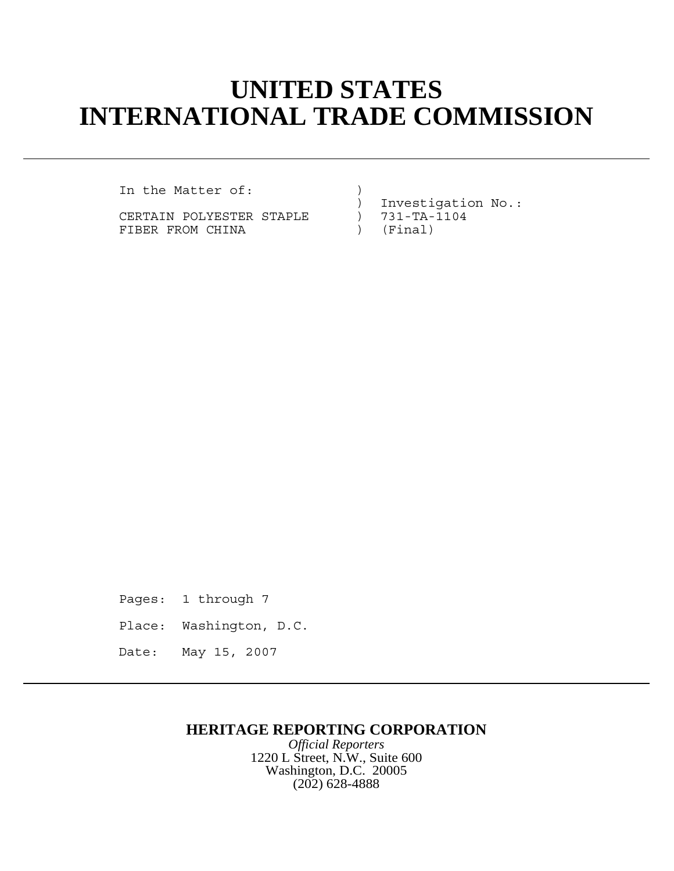## **UNITED STATES INTERNATIONAL TRADE COMMISSION**

In the Matter of: (1)

CERTAIN POLYESTER STAPLE ) 731-TA-1104 FIBER FROM CHINA (FINA

) Investigation No.:<br>) 731-TA-1104

Pages: 1 through 7 Place: Washington, D.C. Date: May 15, 2007

## **HERITAGE REPORTING CORPORATION**

*Official Reporters* 1220 L Street, N.W., Suite 600 Washington, D.C. 20005 (202) 628-4888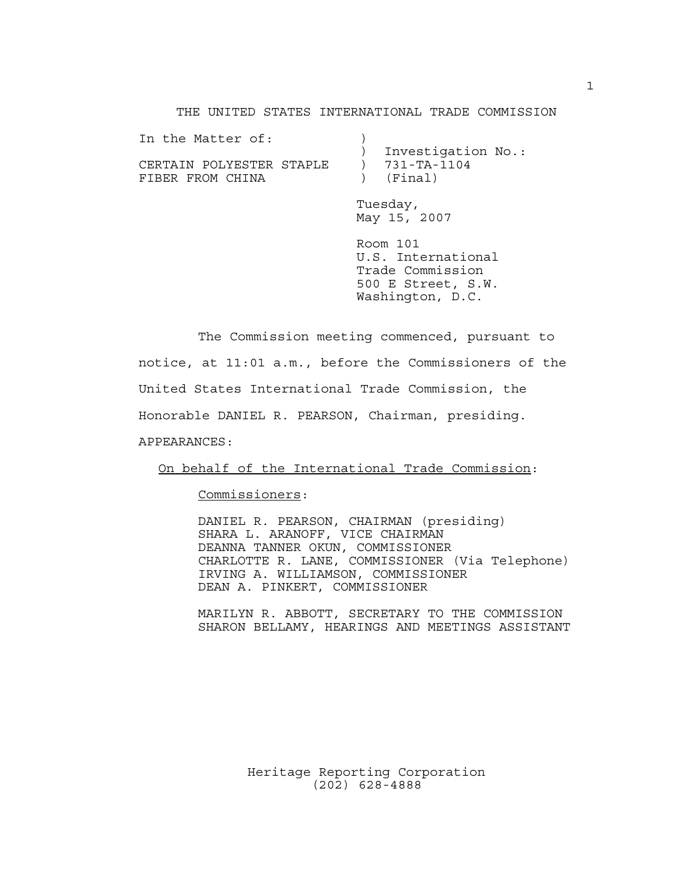THE UNITED STATES INTERNATIONAL TRADE COMMISSION

| In the Matter of:        |                     |
|--------------------------|---------------------|
|                          | Investigation No.:  |
| CERTAIN POLYESTER STAPLE | $) 731 - TA - 1104$ |
| FIBER FROM CHINA         | ) (Final)           |
|                          |                     |

Tuesday, May 15, 2007

Room 101 U.S. International Trade Commission 500 E Street, S.W. Washington, D.C.

The Commission meeting commenced, pursuant to notice, at 11:01 a.m., before the Commissioners of the United States International Trade Commission, the Honorable DANIEL R. PEARSON, Chairman, presiding. APPEARANCES:

On behalf of the International Trade Commission:

Commissioners:

DANIEL R. PEARSON, CHAIRMAN (presiding) SHARA L. ARANOFF, VICE CHAIRMAN DEANNA TANNER OKUN, COMMISSIONER CHARLOTTE R. LANE, COMMISSIONER (Via Telephone) IRVING A. WILLIAMSON, COMMISSIONER DEAN A. PINKERT, COMMISSIONER

MARILYN R. ABBOTT, SECRETARY TO THE COMMISSION SHARON BELLAMY, HEARINGS AND MEETINGS ASSISTANT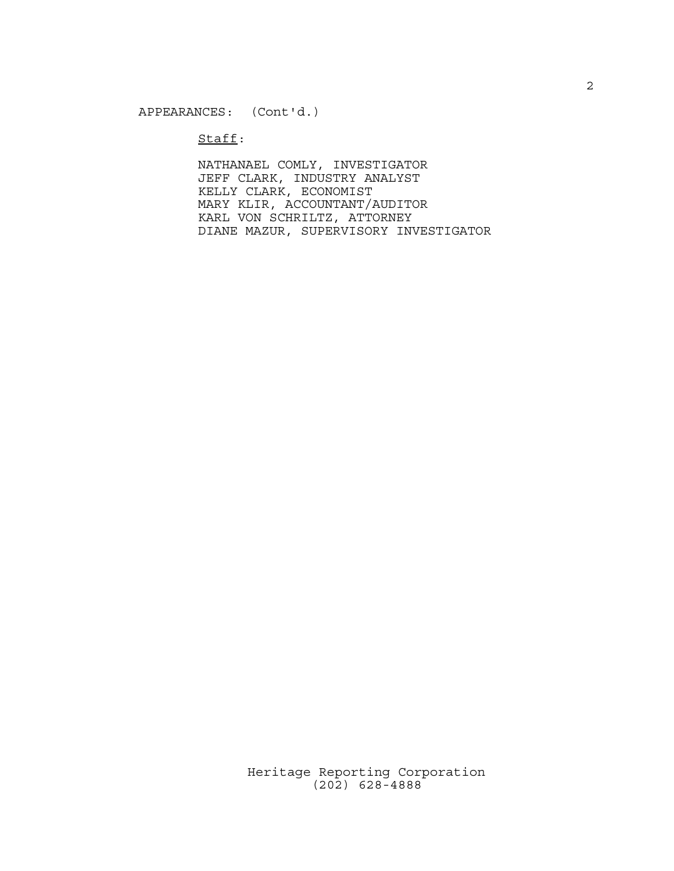$Stat:$ 

NATHANAEL COMLY, INVESTIGATOR JEFF CLARK, INDUSTRY ANALYST KELLY CLARK, ECONOMIST MARY KLIR, ACCOUNTANT/AUDITOR KARL VON SCHRILTZ, ATTORNEY DIANE MAZUR, SUPERVISORY INVESTIGATOR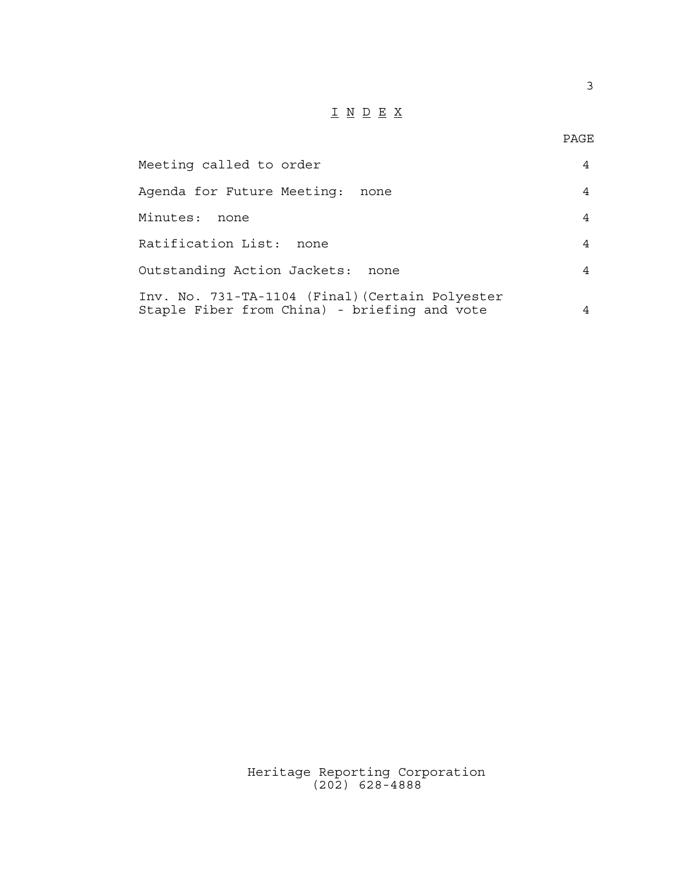## $\underline{\texttt{I}} \underline{\texttt{N}} \underline{\texttt{D}} \underline{\texttt{E}} \underline{\texttt{X}}$

3

| Meeting called to order                                                                         |   |
|-------------------------------------------------------------------------------------------------|---|
| Agenda for Future Meeting:<br>none                                                              | 4 |
| Minutes:<br>none                                                                                | 4 |
| Ratification List: none                                                                         | 4 |
| Outstanding Action Jackets:<br>none                                                             | 4 |
| Inv. No. 731-TA-1104 (Final) (Certain Polyester<br>Staple Fiber from China) - briefing and vote |   |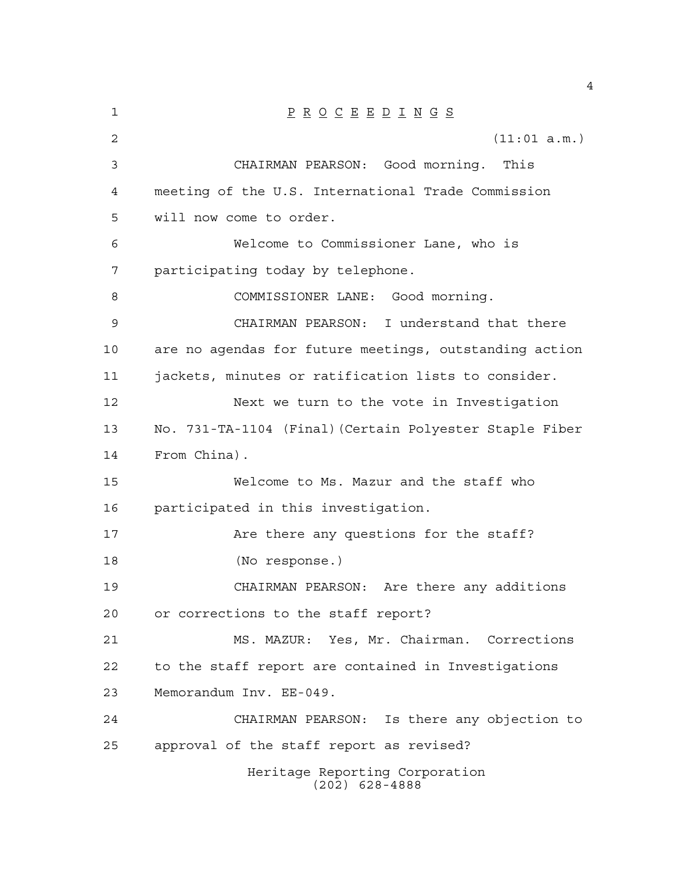| 1      | $\underline{P} \underline{R} \underline{O} \underline{C} \underline{E} \underline{E} \underline{D} \underline{I} \underline{N} \underline{G} \underline{S}$ |
|--------|-------------------------------------------------------------------------------------------------------------------------------------------------------------|
| 2      | (11:01 a.m.)                                                                                                                                                |
| 3      | CHAIRMAN PEARSON: Good morning.<br>This                                                                                                                     |
| 4      | meeting of the U.S. International Trade Commission                                                                                                          |
| 5      | will now come to order.                                                                                                                                     |
| 6      | Welcome to Commissioner Lane, who is                                                                                                                        |
| 7      | participating today by telephone.                                                                                                                           |
| 8      | COMMISSIONER LANE: Good morning.                                                                                                                            |
| 9      | CHAIRMAN PEARSON: I understand that there                                                                                                                   |
| 10     | are no agendas for future meetings, outstanding action                                                                                                      |
| $11\,$ | jackets, minutes or ratification lists to consider.                                                                                                         |
| 12     | Next we turn to the vote in Investigation                                                                                                                   |
| 13     | No. 731-TA-1104 (Final) (Certain Polyester Staple Fiber                                                                                                     |
| 14     | From China).                                                                                                                                                |
| 15     | Welcome to Ms. Mazur and the staff who                                                                                                                      |
| 16     | participated in this investigation.                                                                                                                         |
| 17     | Are there any questions for the staff?                                                                                                                      |
| 18     | (No response.)                                                                                                                                              |
| 19     | CHAIRMAN PEARSON: Are there any additions                                                                                                                   |
| 20     | or corrections to the staff report?                                                                                                                         |
| 21     | MS. MAZUR: Yes, Mr. Chairman. Corrections                                                                                                                   |
| 22     | to the staff report are contained in Investigations                                                                                                         |
| 23     | Memorandum Inv. EE-049.                                                                                                                                     |
| 24     | CHAIRMAN PEARSON: Is there any objection to                                                                                                                 |
| 25     | approval of the staff report as revised?                                                                                                                    |
|        | Heritage Reporting Corporation<br>$(202)$ 628-4888                                                                                                          |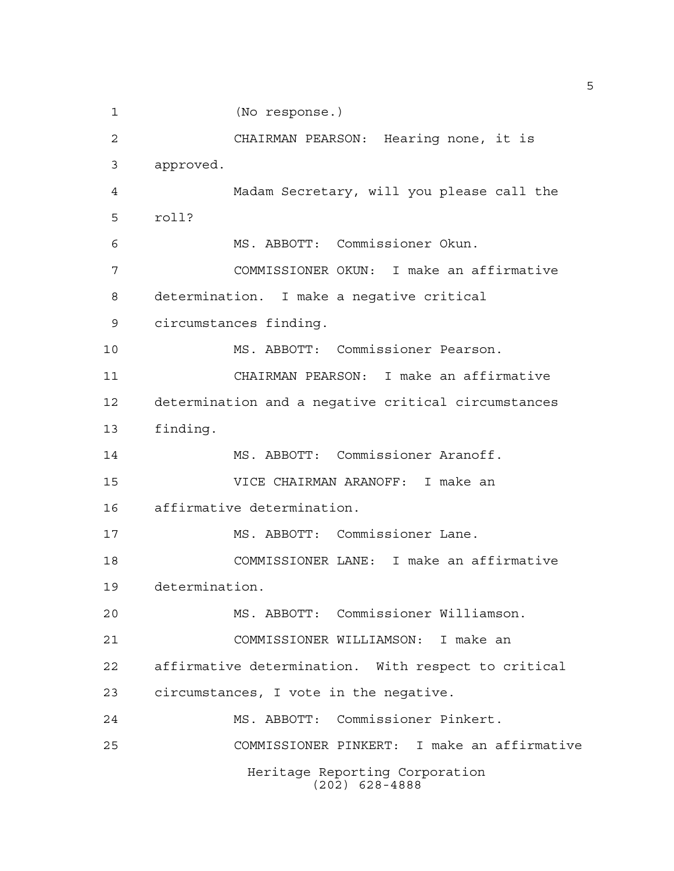```
Heritage Reporting Corporation
                     (202) 628-4888
1 (No response.)
2 CHAIRMAN PEARSON: Hearing none, it is
3 approved.
4 Madam Secretary, will you please call the
5 roll?
6 MS. ABBOTT: Commissioner Okun.
7 COMMISSIONER OKUN: I make an affirmative
8 determination. I make a negative critical
9 circumstances finding.
10 MS. ABBOTT: Commissioner Pearson.
11 CHAIRMAN PEARSON: I make an affirmative
12 determination and a negative critical circumstances
13 finding.
14 MS. ABBOTT: Commissioner Aranoff.
15 VICE CHAIRMAN ARANOFF: I make an
16 affirmative determination.
17 MS. ABBOTT: Commissioner Lane.
18 COMMISSIONER LANE: I make an affirmative
19 determination.
20 MS. ABBOTT: Commissioner Williamson.
21 COMMISSIONER WILLIAMSON: I make an
22 affirmative determination. With respect to critical
23 circumstances, I vote in the negative.
24 MS. ABBOTT: Commissioner Pinkert.
25 COMMISSIONER PINKERT: I make an affirmative
```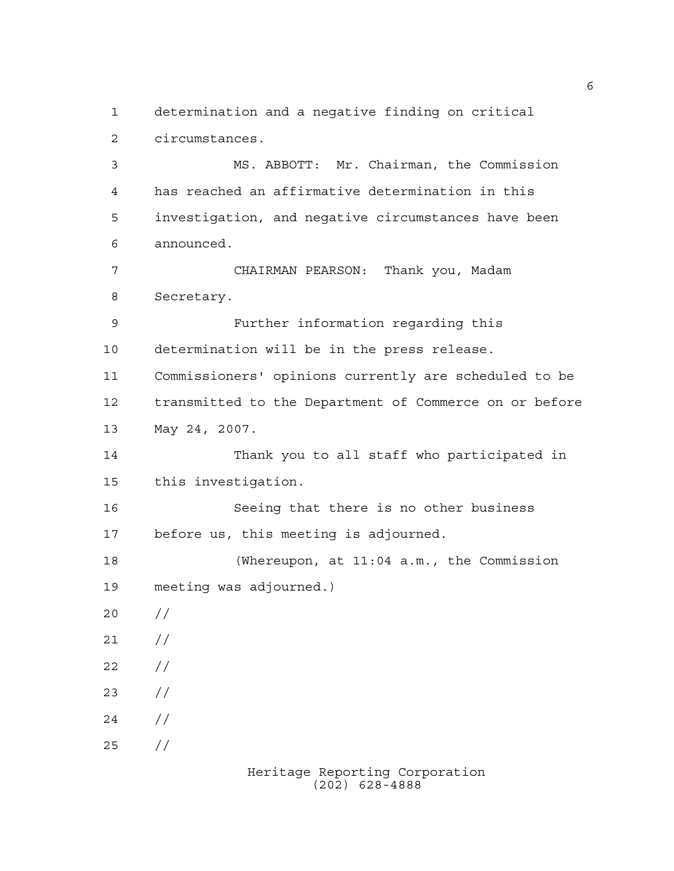determination and a negative finding on critical circumstances.

 MS. ABBOTT: Mr. Chairman, the Commission has reached an affirmative determination in this investigation, and negative circumstances have been announced. CHAIRMAN PEARSON: Thank you, Madam Secretary. Further information regarding this determination will be in the press release. Commissioners' opinions currently are scheduled to be transmitted to the Department of Commerce on or before May 24, 2007. Thank you to all staff who participated in this investigation. Seeing that there is no other business before us, this meeting is adjourned. (Whereupon, at 11:04 a.m., the Commission meeting was adjourned.)  $20 /$  $21 /$  $22 / /$  $23 / /$  $24 /$ 

//